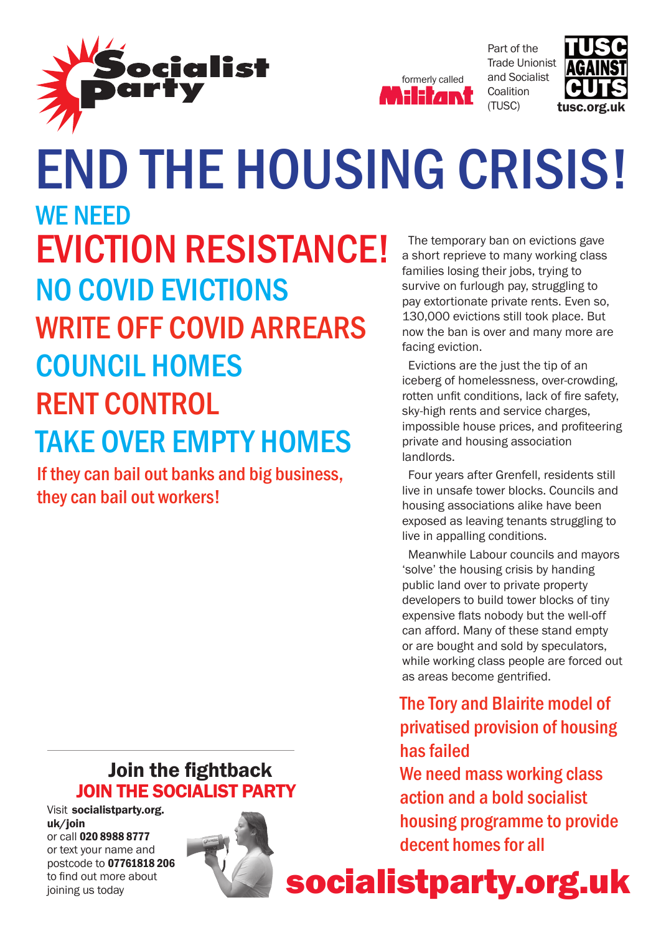



Part of the Trade Unionist and Socialist **Coalition** (TUSC)



### end the housing crisis! facing eviction. WF NFFD Eviction Resistance! No Covid evictions WRITE OFF COVID ARREARS Council homes **RENT CONTROL** Take over empty homes

If they can bail out banks and big business, they can bail out workers!

The temporary ban on evictions gave a short reprieve to many working class families losing their jobs, trying to survive on furlough pay, struggling to pay extortionate private rents. Even so, 130,000 evictions still took place. But now the ban is over and many more are

Evictions are the just the tip of an iceberg of homelessness, over-crowding, rotten unfit conditions, lack of fire safety, sky-high rents and service charges, impossible house prices, and profiteering private and housing association landlords.

Four years after Grenfell, residents still live in unsafe tower blocks. Councils and housing associations alike have been exposed as leaving tenants struggling to live in appalling conditions.

Meanwhile Labour councils and mayors 'solve' the housing crisis by handing public land over to private property developers to build tower blocks of tiny expensive flats nobody but the well-off can afford. Many of these stand empty or are bought and sold by speculators, while working class people are forced out as areas become gentrified.

### The Tory and Blairite model of privatised provision of housing has failed

We need mass working class action and a bold socialist housing programme to provide decent homes for all

### Join the fightback JOIN THE SOCIALIST party

Visit socialistparty.org. uk/join or call 020 8988 8777 or text your name and postcode to 07761818 206 to find out more about



to find out more about **Socialistparty.org.uk**